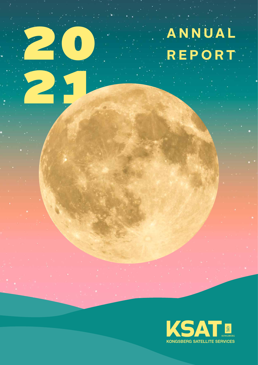# **ANNUAL**<br>REPORT

21

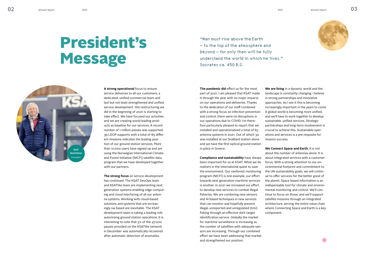"Man must rise above the Earth – to the top of the atmosphere and beyond – for only then will he fully understand the world in which he lives." Socrates ca. 450 B.C.

**A strong operational** focus to ensure service deliveries to all our customers, a dedicated, unified commercial team and last but not least strengthened and unified service development -the restructuring we did in the beginning of 2021 is starting to take effect. We have focused our activities and we are creating world leading products as baseline for our services. A record number of 1 million passes was supported. 39 LEOP supports with a total of 85 different missions indicates the leading position of our ground station services. More than 10.000 users have signed up and are using the Norwegian International Climate and Forest Initiative (NICFI) satellite data program that we have developed together with our partners.

**The strong focus** on service development has continued. The KSAT DevOps team and KSATlite team are implementing next generation systems enabling edge computing and cloud interfacing of all our antenna systems. Working with cloud-based solutions and systems that are increasingly sw based are inevitable. The KSAT development team is taking a leading role automizing ground station operations. It is interesting to note that 5% of the 47.000 passes provided on the KSATlite network in December was automatically recovered after automatic detection of anomalies.

**The pandemic did** effect us for the most part of 2021. I am pleased that KSAT made it through the year with no major impacts on our operations and deliveries. Thanks to the dedication of our staff combined with a strong focus on infection prevention and control, there were no disruptions in our operations due to COVID. I'm therefore particularly pleased to report that we installed and operationalized a total of 65 antenna systems in 2021. Out of which 30 was installed at our Svalbard station alone and we have the first optical ground station in place in Greece.

**Compliance and sustainability** have always been important for us at KSAT. What we do matters in the international quest to save the environment. Our rainforest monitoring program (NICFI) is one example, our effort towards next generation maritime services is another. In 2021 we increased our effort to develop new services to combat illegal fisheries. We are combining new sensors and AI based techniques in new services that can monitor and hopefully prevent illegal, unreported and unregulated (IUU) fishing through an effective dark target identification service. Globally the market for maritime surveillance is increasing as the number of satellites with adequate sensors are increasing. Through our combined effort we have been addressing that market and strengthened our position.

**We are living** in a dynamic world and the landscape is constantly changing. I believe in strong partnerships and innovative approaches. As I see it this is becoming increasingly important in the years to come. A global world is becoming more unified, and we'll have to work together to develop sustainable, unified services. Strategic partnerships and long-term involvement is crucial to achieve this. Sustainable operations and services is a pre-requisite for mission success.

**We Connect Space and Earth**. It is not about the number of antennas alone. It is about integrated services with a customer focus. With a strong attention to our environmental footprint and commitment to the UN sustainability goals, we will continue to offer services for the better good of the planet. Space based information is an indispensable tool for climate and environmental monitoring and control. We'll continue to focus on those, and we'll support satellite missions through an integrated architecture, serving the entire value chain where Connecting Space and Earth is a key component.

## President's Message







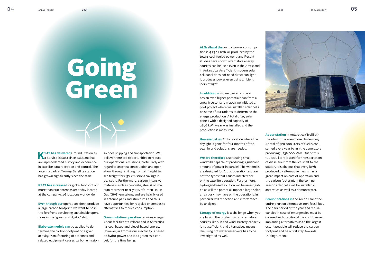## Going Green

**At Svalbard the** annual power consumption is 4 230 MWh, all produced by the towns coal-fueled power plant. Recent studies have shown alternative energy sources can be used even in the Arctic and in Antarctica. An efficient, modern solar cell panel does not need direct sun light, it produces power even using ambient indirect light.

**In addition, a** snow-covered surface has an even higher potential than from a snow free terrain. In 2021 we initiated a pilot project where we installed solar cells on some of our radoms to determine the energy production. A total of 25 solar panels with a designed capacity of 2876 kWh/year was installed and the production is measured.

**Storage of energy** is a challenge when you are basing the production on alternative sources like sun and wind. Battery capacity is not sufficient, and alternatives means like using hot water reservoirs has to be investigated as well.

**However, at an** Arctic location where the daylight is gone for four months of the year, hybrid solutions are needed.

**We are therefore** also testing small windmills capable of producing significant amount of power in parallel. The windmills are designed for Arctic operation and are not the types that causes interference on the satellite operation. Furthermore, hydrogen-based solution will be investigated as will the potential impact a large solar array park may have on the operations. In particular will reflection and interference be analyzed.

**K** SAT has delivered Ground Station as<br> **A** a Service (GSaS) since 1968 and has an unprecedented history and experience in satellite data reception and control. The antenna park at Tromsø Satellite station has grown significantly since the start.

**Even though our operations don't produce** a large carbon footprint, we want to be in the forefront developing sustainable operations in the "green and digital" shift.

**At our station** in Antarctica (TrollSat) the situation is even more challenging. A total of 520 000 liters of fuel is consumed every year to run the generators producing 1 236 000 kWh. Out of this 120 000 liters is used for transportation of diesel fuel from the Ice shelf to the station. It is obvious that every kWh produced by alternative means has a great impact on cost of operation and the carbon footprint. In the coming season solar cells will be installed in antarctica as well as a demonstrator.

**Ground stations in** the Arctic cannot be entirely run on alternative, non-fossil fuel. The dark period of the year and redundancies in case of emergencies must be covered with traditional means. However, implanting alternatives as to the largest extent possible will reduce the carbon footprint and be a first step towards «Going Green».





**KSAT has increased** its global footprint and more than 260 antennas are today located at the company's 26 locations worldwide.

**Elaborate models can** be applied to determine the carbon footprint of a given activity. Manufacturing of antennas and related equipment causes carbon emission,

so does shipping and transportation. We believe there are opportunities to reduce our operational emissions, particularly with regard to antenna construction and operation, through shifting from air freight to sea freight for 85% emissions savings in transport. Furthermore, carbon-intensive materials such as concrete, steel & aluminum represent nearly 15% of Green House Gas (GHG) emissions, and are heavily used in antenna pads and structures and thus have opportunities for recycled or composite alternatives to reduce consumption.

**Ground station operation** requires energy. At our facilities at Svalbard and in Antarctica it's coal based and diesel-based energy. However, in Tromsø our electricity is based on hydro-power and is as green as it can get, for the time being.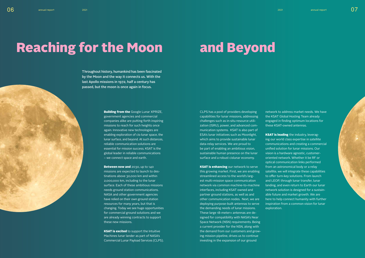#### **Building from the Google Lunar XPRIZE,** government agencies and commercial companies alike are putting forth inspiring missions to reach for such heights once again. Innovative new technologies are enabling exploration of cis-lunar space, the lunar surface, and beyond. At such distances, reliable communication solutions are essential for mission success. KSAT is the global leader in reliable communications – we connect space and earth.

Between now and 2030, up to 140 missions are expected to launch to destinations above 30,000 km and within 2,000,000 km, including to the lunar surface. Each of these ambitious missions needs ground station communications. NASA and other government agencies have relied on their own ground station resources for many years, but that is changing. Today we see huge opportunities for commercial ground solutions and we are already winning contracts to support these new missions.

**KSAT is excited** to support the Intuitive Machines lunar lander as part of NASA's Commercial Lunar Payload Services (CLPS). **KSAT is enhancing our network to serve** this growing market. First, we are enabling streamlined access to the world's largest multi-mission space communication network via common machine-to-machine interfaces, including KSAT owned and partner ground stations, as well as and other communication nodes. Next, we are deploying purpose-built antennas to serve the demanding needs of lunar missions. These large 18-meter+ antennas are designed for compatibility with NASA's Near Space Network (NSN) requirements. Being a current provider for the NSN, along with the demand from our customers and growing mission pipeline, drives us to continue investing in the expansion of our ground

CLPS has a pool of providers developing capabilities for lunar missions, addressing challenges such as in-situ resource utilization (ISRU), power, and advanced communication systems. KSAT is also part of ESA's lunar initiatives such as Moonlight, which aims to provide sustainable lunar data-relay services. We are proud to be part of enabling an ambitious vision, sustainable human presence on the lunar surface and a robust cislunar economy.

**KSAT is leading** the industry, leveraging our world class expertise in satellite communications and creating a commercial unified solution for lunar missions. Our vision is a hardware agnostic, customeroriented network. Whether it be RF or optical communication links performed from an astronomical body or a relay satellite, we will integrate these capabilities to offer turn-key solutions. From launch and LEOP, through lunar transfer, lunar landing, and even return to Earth our lunar network solution is designed for a sustainable future and market growth. We are here to help connect humanity with further inspiration from a common vision for lunar exploration.



network to address market needs. We have the KSAT Global Hosting Team already engaged in finding optimum locations for these KSAT-owned antennas.

## Reaching for the Moon and Beyond

Throughout history, humankind has been fascinated by the Moon and the way it connects us. With the last Apollo missions in 1972, half a century has passed, but the moon is once again in focus.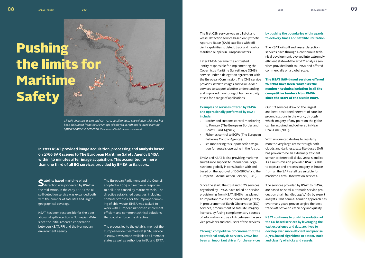**Satellite based maritime** oil spill detection was pioneered by KSAT in the mid-1990s. In the early 2000s the oil spill detection service was expanded both with the number of satellites and larger geographical coverage.

KSAT has been responsible for the operational oil spill detection in Norwegian Water since the initial research cooperation between KSAT, FFI and the Norwegian environment agency.

*Oil spill detected in SAR and OPTICAL satellite data. The relative thickness has been calculated from the SAR image (displayed in red) and is layed over the optical Sentinel-2 detection. (Contains modified Copernicus data 2021)*

The first CSN service was an oil slick and vessel detection service based on Synthetic Aperture Radar (SAR) satellites with efficient capabilities to detect, track and monitor maritime oil spills in European waters.

Later EMSA became the entrusted entity responsible for implementing the Copernicus Maritime Surveillance (CMS) service under a delegation agreement with the European Commission. The CMS service provides satellite images and value-added services to support a better understanding and improved monitoring of human activity at sea for a range of applications.

#### **Examples of services offered by EMSA and operationally performed by KSAT include:**

The process led to the establishment of the European-wide CleanSeaNet (CSN) service in 2007. It was made available to all member states as well as authorities in EU and EFTA.

- Border and customs control monitoring to Frontex (The European Border and Coast Guard Agency)
- Fisheries control to ECFA (The European Fisheries Control Agency)
- Ice monitoring to support safe navigation for vessels operating in the Arctic.

EMSA and KSAT is also providing maritime surveillance support to international organizations globally in consultation with and based on the approval of DG-GROW and the European External Action Service (EEAS).

Since the start, the CSN and CMS services organized by EMSA, have relied on service provisioning from KSAT. EMSA has played an important role as the coordinating entity in procurement of Earth Observation (EO) services, procurement of satellite imagery licenses, by fusing complementary sources of information and as a link between the service providers and end-users of the services.

**Through competitive procurement of the operational analysis services, EMSA has been an important driver for the services** 

The European Parliament and the Council adopted in 2005 a directive in response to pollution caused by marine vessels. The directive established penalties, including criminal offenses, for the improper dumping of ship waste. EMSA was tasked to work with European nations to implement efficient and common technical solutions that could enforce the directive.

#### **by pushing the boundaries with regards to delivery times and satellite utilization.**

The KSAT oil spill and vessel detection services have through a continuous technical development, evolved into extremely efficient state-of-the art-EO analysis services provided both to EMSA and offered commercially on a global scale.

#### The KSAT SAR-based services offered to EMSA have been ranked as the number 1 technical solution in all the competitive tenders from EMSA since the start of the CSN in 2007.

Our EO services draw on the largest and best-positioned network of satellite ground stations in the world, through which imagery of any point on the globe can be acquired and delivered in Near Real-Time (NRT).

With unique capabilities to regularly monitor very large areas through both clouds and darkness, satellite-based SAR has proven to be an extremely efficient sensor to detect oil slicks, vessels and ice. As a multi-mission provider, KSAT is able to capture and process imagery in-house from all the SAR satellites suitable for maritime Earth Observation services.

The services provided by KSAT to EMSA, are based on semi-automatic service production chain handled 24/7/365 by expert analysts. This semi-automatic approach has over many years proven to give the best trade-off between efficiency and quality.

**KSAT continues to push the evolution of the EO based services by leveraging the vast experience and data archives to develop even more efficient and precise AI/ML based algorithms to detect, track and classify oil slicks and vessels.** 



**In 2021 KSAT provided image acquisition, processing and analysis based on 2766 SAR scenes to The European Maritime Safety Agency EMSA within 30 minutes after image acquisition. This accounted for more than one third of all EO services provided by EMSA to its users.**

## Pushing the limits for Maritime Safety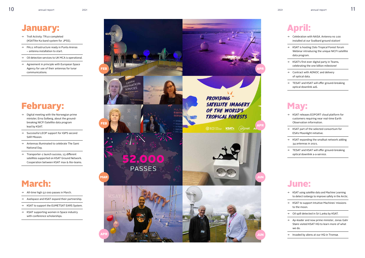## March:

- → All-time high 52 000 passes in March.
- → Axelspace and KSAT expand their partnership.<br>
→ KSAT to support the EUMETSAT EARS System.
- 
- → KSAT supporting women in Space industry with conference scholarships.

### June:

- → KSAT using satellite data and Machine Learning to detect icebergs to improve safety in the Arctic.
- → KSAT to support Intuitive Machines' missions to the moon.
- → Oil spill detected in Sri Lanka by KSAT.
- → Ap-leader and now prime minister, Jonas Gahr Støre visited KSAT HQ to learn more of what we do.
- → Invaded by aliens at our HQ in Tromsø.

## January:

- → Troll Activity: TR10 completed (KSATlite Ka-band system for JPSS).
- → PA11 infrastructure ready in Punta Arenas – antenna installation to start.
- $\rightarrow$  Oil detection services to UK MCA is operational.
- $\rightarrow$  Agreement in principle with European Space Agency for use of their antennas for lunar communications.

## February:

- → Digital meeting with the Norwegian prime minister, Erna Solberg, about the groundbreaking NICFI Satellite data program lead by KSAT.
- → Successful LEOP support for IQPS second SAR Mission.
- → Antennas illuminated to celebrate The Sami National Day.
- → Transporter-1 launch success, 15 different satellites supported on KSAT Ground Network. Cooperation between KSAT max & lite-teams.

## April:

- → Celebration with NASA. Antenna no 100 installed at our Svalbard ground station!
- → KSAT is hosting Oslo Tropical Forest forum Webinar introducing the unique NICFI satellite data program.
- → KSAT's first ever digital party in Teams, celebrating the one billion milestone!
- → Contract with ADNOC and delivery of optical data.
- → TESAT and KSAT will offer ground-breaking optical downlink aaS.

## May:

- → KSAT releases EOPORT cloud platform for customers requiring near real-time Earth Observation information.
- → KSAT part of the selected consortium for ESA's Moonlight initiative.
- → KSAT expanding the smallsat network adding 34 antennas in 2021.
- → TESAT and KSAT will offer ground-breaking optical downlink a-a-service.

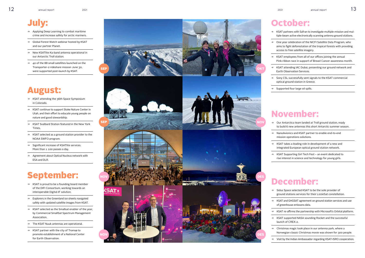## December:

→ Sidus Space selected KSAT to be the sole provider of ground stations services for their LizzieSat constellation.

→ KSAT and GHGSAT agreement on ground station services and use of greenhouse emissons data.

KSAT re-affirms the partnership with Microsoft's Orbital platform.

→ KSAT supported NASA sounding Rocket and the successful launch of CREX-2.

→ Christmas magic took place in our antenna park, where a Norwegian classic Christmas movie was shown for 300 people.

Visit by the Indian Ambassador regarding KSAT-ISRO cooperation.

- $\rightarrow$  KSAT is proud to be a founding board member of the DIFI Consortium, working towards an interoperable Digital-IF solution.
- $\rightarrow$  Explorers in the Greenland ice sheets navigated safely with updated satellite images from KSAT.
- → KSAT selected as the Smallsat enabler of the year, by Commercial SmallSat Spectrum Management Association.
- $\rightarrow$  The KSAT Nuuk antennas are operational.
- $\rightarrow$  KSAT partner with the city of Tromsø to promote establishment of a National Center for Earth Observation.

## September:

 $\rightarrow$  KSAT partners with Safran to investigate multiple-mission and multiple-beam active electronically scanning antenna ground stations .

## July:

- → Applying Deep Learning to combat maritime crime and increase safety for arctic mariners.
- → Global Forest Watch webinar hosted by KSAT and our partner Planet.
- → New KSATlite Ka-band antenna operational in our Antarctic Troll station.
- → 40 of the 88 small satellites launched on the Transporter-2 rideshare mission June 30, were supported post-launch by KSAT.

## August:

- → KSAT attending the 36th Space Symposium in Colorado.
- → KSAT continue to support Stoke Nature Center in Utah, and their effort to educate young people on nature and good stewardship.
- → KSAT Svalbard Station featured in the New York Times.
- → KSAT selected as a ground station provider to the NOAA SWFO program.
- → Significant increase of KSATlite services. More than 1 100 passes a day.
- → Agreement about Optical Nucleus network with ESA and DLR.

## October:

→ One year celebration of the NICFI Satellite Data Program, who aims to fight deforestation of the tropical forests with providing access to free satellite imagery.

→ KSAT employees from all of our offices joining the annual Pink-ribbon race in support of Breast Cancer awareness month.

→ KSAT attending IAC Dubai, presenting our ground network and Earth Observation Services.

→ Sony CSL successfully sent signals to the KSAT commercial optical ground station in Greece.

Supported four large oil spills.

## November:

→ Our Antarctica team landed at Troll ground station, ready to build 6 new antennas this short Antarctic summer season.

→ NanoAvionics and KSAT partner to enable end-to-end mission operations solutions.

→ KSAT takes a leading role in development of a new and integrated European optical ground station network.

→ KSAT Supporting Girl Tech Fest – an event dedicated to rise interest in science and technology for young girls.

SEP



NOV

**SAT**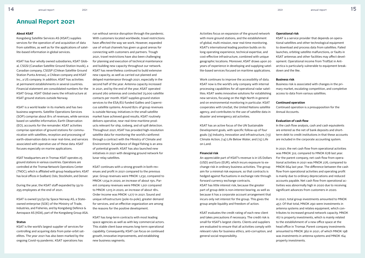#### **About KSAT**

Kongsberg Satellite Services AS (KSAT) supplies services for the operation of and acquisition of data from satellites, as well as for the applications of satellite-based information in global services.

KSAT has four wholly owned subsidiaries, KSAT Global, CSGSI (Canadian Satellite Ground Station Inuvik), a Canadian company, CSGSP (Chilean Satellite Ground Station Punta Arenas), a Chilean company and KSAT Inc., a US company. In addition, KSAT has activities at permanent establishments in several countries. Financial statement are consolidated numbers for the KSAT Group. KSAT Global owns the infrastructure at KSAT ground stations outside Norway.

KSAT is a world leader in its markets and has two business segments. Satellite Operations Services (SOP) comprise about 81% of revenues, while services based on satellite information, Earth Observation (EO), accounts for the remainder. KSAT activities comprise operation of ground stations for communication with satellites, reception and processing of earth-observation data in near real-time, and services associated with operative use of these data. KSAT focuses especially on marine applications.

KSAT headquarters are in Tromsø. KSAT operates 25 ground stations in various countries. Operations are controlled at the Tromsø Network Operations Center (TNOC), which is affiliated with group headquarters. KSAT has local offices in Svalbard, Oslo, Stockholm, and Denver.

During the year, the KSAT staff expanded by 59 to 295 employees at the end of 2021.

KSAT is owned 50/50 by Space Norway AS, a Stateowned enterprise (SOE) of the Ministry of Trade, Industries, and Fisheries, and by Kongsberg Defence & Aerospace AS (KDA), part of the Kongsberg Group ASA.

#### **Status**

KSAT is the world's largest supplier of services for controlling and acquiring data from polar-orbit satellites. The year 2021 has also been marked by the ongoing Covid-19 pandemic. KSAT operations has

run without service disruption through the pandemic. With customers located worldwide, travel restrictions have affected the way we work. However, expanded use of virtual channels has given us good arenas for connecting with customers and partners. Trough 2021, travel restrictions have also been challenging for planning and execution of technical maintenance and building new capacity throughout our network. KSAT has nevertheless continued to build extensive new capacity, as well as carried out planned and delayed maintenance through 2021, especially in the second half of the year. Antenna capacity increased in 2021, and by the end of the year, KSAT operated around 260 antennas and conducted 75,000 satellite contacts per month. KSAT supplies ground station services to the ESA/EU funded Galileo and Copernicus satellite systems. Around 82% of group revenues is outside Norway. Initiatives in the small satellite market have achieved good results. KSAT routinely delivers operative, near real-time maritime products relevant for ship, iceberg, and oil spill detection. Throughout 2021, KSAT has provided high-resolution satellite data for monitoring the world's rainforest through a contract with the Ministry of Climate and Environment. Surveillance of illegal fishing is an area of potential growth. KSAT has also launched new initiatives in 2021 with designing ground network for lunar relay satellites.

KSAT continues with a strong growth in both revenues and profit in 2021 compared to the previous year. Group revenues were MNOK 1,232, compared to MNOK 1,034 in 2020, an increase of about 19%. Parent company revenues were MNOK 1,201 compared to MNOK 1,015 in 2020, an increase of about 18%. Order Income was MNOK 1,277 in 2021. Sound and unique infrastructure (pole-to-pole), greater demand for services, and an effective organization are among the reasons for the positive development.

KSAT has long-term contracts with most leading space agencies as well as with key commercial actors. This stable client base ensures long-term operational capability. Consequently, KSAT can focus on continued growth, innovative improvements, and establishing new business segments.

### **Annual Report 2021**

Activities focus on expansion of the ground network with more ground stations, and the establishment of global, multi-mission, near real-time monitoring. KSAT's international leading position builds on its long operating experience, technical expertise, and cost-effective infrastructure, combined with unique geographic locations. Moreover, KSAT draws upon 20 years of experience in developing and supplying satellite-based services focused on maritime applications.

Work continues to improve the accessibility of data. KSAT now is the world's only company with internal processing capabilities for all operational radar satellites. KSAT seeks innovative solutions for establishing new services, focusing on the High North in general and on environmental monitoring in particular. KSAT cooperates with UnoSat, the United Nations satellite agency, and contributes to the use of satellite data in disaster and emergency aid activities.

KSAT has an active focus of the UN Sustainable Development goals, with specific follow-up of four goals: (9) Industry, Innovation and infrastructure, (13) Climate Action, (14) Life Below Water, and (15) Life on Land.

#### **Financial risk**

An appreciable part of KSAT's revenue is in US Dollars (USD) and Euro (EUR), which incurs exposure to exchange risk in ordinary business activities. The group aim for a minimal risk exposure, so that contracts is hedged against fluctuations in exchange rate through forward currency exchange contracts. KSAT has little interest risk, because the greater part of group debt is non-interest bearing, as well as because it has a corporate account arrangement that incurs only net interest for the group. This gives the group ample liquidity and freedom of action.

KSAT evaluates the credit rating of each new client and takes precautions if necessary. The credit risk is small for KSAT's largest clients. Clients and suppliers are evaluated to ensure that all activities comply with relevant rules for business ethics, anti-corruption, and general social responsibility.

#### **Operational risk**

KSAT is a service provider that depends on operational satellites and other technological equipment to download and process data from satellites. Failed launches, orbiting satellite malfunctions, or faults in KSAT antennas and other facilities may affect development. Operational income from TrollSat in Antarctica is particularly vulnerable to equipment breakdown and the like.

#### **Business risk**

Business risk is associated with changes in the primary market, escalating competition, and completive access to data from various satellites.

#### **Continued operation**

Continued operation is a presupposition for the Annual Accounts.

#### **Evaluation of cash flow**

In the cash flow analysis, cash and cash equivalents are entered as the net of bank deposits and shortterm debt to credit institutions in that these accounts are included in the corporate accounting system.

In 2021, the net cash flow from operational activities was MNOK 312, compared to MNOK 678 last year. For the parent company, net cash flow from operational activities in 2021 was MNOK 276, compared to MNOK 664 last year. The difference between the cash flow from operational activities and operating profit is mainly due to ordinary depreciations and reduced accounts payable. Net cash flow from operational activities was abnormally high in 2020 due to receiving significant advances from customers in 2020.

In 2021, total group investments amounted to MNOK 457. Of that total, MNOK 290 were investments in antenna systems and relates equipment, which contributes to increased ground network capacity. MNOK 167 is property investments, which is mainly related to the establishment of a new office space at the head office in Tromsø. Parent company investments amounted to MNOK 362 in 2021, of which MNOK 198 was investments in antenna systems and MNOK 164 property investments.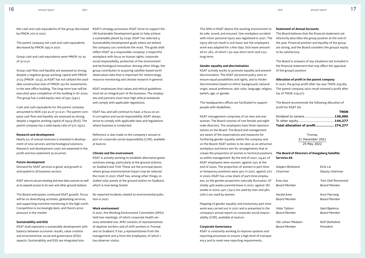Net cash and cash equivalents of the group decreased by MNOK 270 in 2021.

The parent company net cash and cash equivalents decreased by MNOK 295 in 2021.

Group cash and cash equivalents were MNOK 151 as of 31.12.21.

Group cash flow and liquidity are assessed as strong, despite a negative group working capital with MNOK 217,5 (MNOK -22,5), as KSAT has not utilized the available construction loan of MNOK 150 for investments in the new office building. The long-term loan will be executed upon completion of the building in Q1 2022. The group has a solid equity ratio of 59% (54%).

Cash and cash equivalents for the parent company amounted to NOK 230 as of 31.12.21. The parent company cash flow and liquidity are assessed as strong, despite a negative working capital of 252,9 (87,6). The parent company has a solid equity ratio of 57% (55%).

#### **Research and development**

Nearly 5% of annual revenues is invested in development of new services and technological solutions. Research and development costs are expensed in the profit and loss statement as incurred.

#### **Future development**

Demand for KSAT services is good, and growth is anticipated in all business sectors.

KSAT aims to secure existing and new data sources as well as to expand access to its own and other ground stations.

The Board anticipates continued KSAT growth. Focus will be on diversifying activities, globalizing services, and supporting maritime monitoring in the high north. Competition is increasingly keen, and there's price pressure in the market

#### **Sustainability and ESG**

KSAT shall represent a sustainable development with balance between economic results, value creation and environmental, social and governance (ESG) aspects. Sustainability and ESG are integrated into

KSAT's strategy processes. KSAT strive to support the UN Sustainable Development goals to help achieve a sustainable planet by 2030. KSAT has selected 4 Sustainability Development goals where we believe the company can contribute the most. The goals shall reflect KSAT as a responsible company; a respectful workplace with focus on human rights, corporate social responsibility, protection of the environment and technological innovation. Among other things, the group contributes to acquiring satellite-based earth observation data that is important for meteorology, resource monitoring and climate research in general.

KSAT emphasizes that values and ethical guidelines must be an integral part of the business. The employees and partners must have high ethical standards and comply with applicable regulations.

KSAT has, and will continue to have, a focus on anti-corruption and social responsibility. KSAT always strive to comply with applicable laws and regulations where business is conducted.

Reference is also made to the company's annual report on corporate social responsibility (CSR), available at ksat.no.

#### **Climate and the environment**

KSAT is actively working to establish alternative green solutions energy, particularly at the ground stations on Svalbard and Troll. These are the principal places where group environmental impact may be reduced the most. In 2021, KSAT has, among other things, installed solar panels at the ground station on Svalbard, which is now being tested.

No reported incidents related to environmental pollution in 2021.

#### **Work environment**

In 2021, the Working Environment Committee (AMU) held two meetings, of which corporate health services attended one. AMU consists of representatives of daytime workers and of shift workers in Tromsø and on Svalbard. It has 3 representatives from the management and 4 from the employees, of which 1 has observer status.

The AMU in KSAT deems the working environment to be safe, sound, and ensured. One workplace accident with minor personal injury was registered in 2021. The injury did not result in sick leave, but the employee's work was adapted for a few days. Sick leave amounted to 1,8%, of which 1.3% was short-term and 0.5% long-term.

#### **Gender equality and discrimination**

KSAT actively works to promote equality and prevent discrimination. The KSAT personnel policy aims to ensure equal possibilities and rights, and to hinder discrimination based on ethnic background, national origin, sexual preference, skin color, language, religion, beliefs, age, or gender.

The headquarters offices are facilitated to support people with disabilities.

KSAT management comprises of six men and one woman. The Board consists of one female and eight male directors. The employees have three representatives on the Board. The Board and management are aware of the expectations and measures for furthering gender equality within the company and on the Board. KSAT wishes to be seen as an attractive workplace and hence aim for arrangements that increase the proportion of women in technical positions as within management. By the end of 2021, 24,4% of KSAT employees were women, against 23% at the end of 2020. The proportion of women in part-time or temporary positions were 45% in 2021, against 27% in 2020. KSAT has a low share of part-time employees, so the gender-proportion naturally fluctuates. Of totally 426 weeks parental leave in 2021, against 187 weeks in 2020, 42% (74%) are used by men and 58% (26%) are used by women.

Mapping of gender equality and involuntary part-time work was carried out in 2021 and is presented in the company's annual report on corporate social responsibility (CSR), available at ksat.no.

#### **Corporate Governance**

KSAT is constantly working to improve systems and reporting processes to ensure a high level of transparency and to meet new reporting requirements.

#### **Statement of Annual Accounts**

The Board believes that the financial statement satisfactorily describes the group position at the end of the year. Financial position and liquidity of the group are strong, and the Board considers the group's equity to be satisfactory.

The Board is unaware of any situations not included in the financial statement that may affect the appraisal of the group's position.

#### **Allocation of profit in the parent company**

In 2021, the group profit after tax was TNOK 274,183. The parent company 2021 result showed a profit after tax of TNOK 274,277.

The Board recommends the following allocation of profit for KSAT AS:

| Total allocation of profit 274,277 |             |
|------------------------------------|-------------|
| To other equity 144,277            |             |
| Dividend to owners 130,000         |             |
|                                    | <b>TNOK</b> |

Tromsø, 31 December 2021 25 May 2022

#### **The Board of Directors of Kongsberg Satellite Services AS**

| Asbjørn Birkeland  | Eirik Lie           |
|--------------------|---------------------|
| Chairman           | Deputy chairman     |
| <b>Fven Aas</b>    | Tore Olaf Rimmereid |
| Board Member       | Board Member        |
| Harald Aarø        | Knut Myrvang        |
| Board Member       | Board Member        |
| Vidar Tyldum       | Gøril Bjørkmo       |
| Board Member       | Board Member        |
| Ole-Johan Mikalsen | Rolf Skatteboe      |
| Board Member       | President           |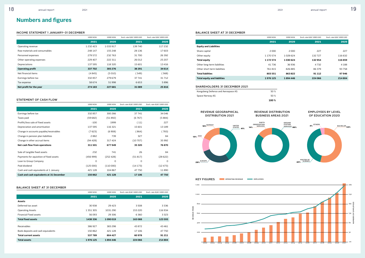#### INCOME STATEMENT 1 JANUARY–31 DECEMBER

|                               | <b>1000 NOK</b> | <b>1000 NOK</b> | Exch. rate 8,82 1000 USD | Exch. rate 8,82 1000 USD |
|-------------------------------|-----------------|-----------------|--------------------------|--------------------------|
|                               | 2021            | 2020            | 2021                     | 2020                     |
| Operating revenue             | 1 2 3 2 4 2 3   | 1033917         | 139 740                  | 117 232                  |
| Raw materials and consumables | 248 147         | 155 248         | 28 136                   | 17603                    |
| Personnel expenses            | 279 572         | 232 763         | 31 700                   | 26 3 9 2                 |
| Other operating expenses      | 229 407         | 222 311         | 26 012                   | 25 207                   |
| Depreciations                 | 137 595         | 118 320         | 15 601                   | 13416                    |
| <b>Operating profit</b>       | 337 702         | 305 276         | 38 291                   | 34 6 14                  |
| Net financial items           | (4845)          | (5010)          | 〔549〕                    | (568)                    |
| Earnings before tax           | 332857          | 279679          | 37741                    | 31712                    |
| Tax expense                   | 58 674          | 51998           | 6653                     | 5896                     |
| Net profit for the year       | 274 183         | 227 681         | 31089                    | 25 8 16                  |

#### STATEMENT OF CASH FLOW

|                                          | <b>1000 NOK</b> | <b>1000 NOK</b> | Exch. rate 8,82 1000 USD | Exch. rate 8,82 1000 USD |
|------------------------------------------|-----------------|-----------------|--------------------------|--------------------------|
|                                          | 2021            | 2020            | 2021                     | 2020                     |
| Earnings before tax                      | 332 857         | 300 266         | 37741                    | 34046                    |
| Taxes paid                               | (59682)         | (51892)         | (6767)                   | (5884)                   |
| Profitt/loss sale of fixed assets        | $-100$          | 1999            | (11)                     | 227                      |
| Depreciation and amortisation            | 137 595         | 116 321         | 15 601                   | 13 189                   |
| Change in accounts payable/receivables   | (7623)          | (6908)          | (864)                    | (783)                    |
| Change in pension plan liabilities       | 2882            | 739             | 327                      | 84                       |
| Change in other accrual items            | (94428)         | 317424          | (10707)                  | 35 992                   |
| Net cash flow from operations            | 311501          | 677949          | 35 3 20                  | 76870                    |
| Sale of tangible fixed assets            | 232             | 741             | 26                       | 84                       |
| Payments for aquisition of fixed assets  | (45699)         | (252 428)       | (51817)                  | (28622)                  |
| Loan to Group Company                    | O               | 0               | 0                        | 0                        |
| Paid dividend                            | (125000)        | (110000)        | (14173)                  | (12473)                  |
| Cash and cash equivalents at 1 January   | 421 128         | 104 867         | 47 750                   | 11890                    |
| Cash and cash equivalents at 31 December | 150862          | 421 128         | 17 106                   | 47750                    |

#### BALANCE SHEET AT 31 DECEMBER

|                                    | <b>1000 NOK</b> | <b>1000 NOK</b> | Exch. rate 8,82 1000 USD | Exch. rate 8,82 1000 USD |
|------------------------------------|-----------------|-----------------|--------------------------|--------------------------|
|                                    | 2021            | 2020            | 2021                     | 2020                     |
| <b>Assets</b>                      |                 |                 |                          |                          |
| Deferred tax asset                 | 30 938          | 29 4 23         | 3508                     | 3 3 3 6                  |
| <b>Operating Assets</b>            | 1 3 5 1 3 0 5   | 1031 290        | 153 220                  | 116934                   |
| <b>Financial Fixed assets</b>      | 56093           | 29 30 6         | 6 3 6 0                  | 3 3 2 3                  |
| <b>Total fixed assets</b>          | 1438 336        | 1090019         | 163088                   | 123 593                  |
|                                    |                 |                 |                          |                          |
| Receivables                        | 386 927         | 383 298         | 43872                    | 43 461                   |
| Bank deposits and cash equivalents | 150862          | 421 128         | 17 106                   | 47 750                   |
| <b>Total current assets</b>        | 537789          | 804 427         | 60978                    | 91 211                   |
| <b>Total assets</b>                | 1976 125        | 1894446         | 224 066                  | 214804                   |

### **Numbers and figures**

#### BALANCE SHEET AT 31 DECEMBER



|                                    | <b>1000 NOK</b> | 1000 NOK | Exch. rate 8,82 1000 USD | Exch. rate 8,82 1000 USD |
|------------------------------------|-----------------|----------|--------------------------|--------------------------|
|                                    | 2021            | 2020     | 2021                     | 2020                     |
| <b>Equity and Liabilities</b>      |                 |          |                          |                          |
| Share capital                      | 2000            | 2000     | 227                      | 227                      |
| Other equity                       | 1 170 574       | 1028624  | 132727                   | 116 632                  |
| Total equity                       | 1 172 574       | 1030624  | 132954                   | 116859                   |
| Other long-term liabilities        | 41 7 3 6        | 36936    | 4732                     | 4 1 8 8                  |
| Other short term liabilities       | 761815          | 826885   | 86379                    | 93758                    |
| <b>Total liablities</b>            | 803551          | 863822   | 91 1 12                  | 97946                    |
| <b>Total equity and liablities</b> | 1976125         | 1894446  | 224 066                  | 214804                   |

#### SHAREHOLDERS 31 DECEMBER 2021

|                                    | 100 % |
|------------------------------------|-------|
| Space Norway AS                    | 50 %  |
| Kongsberg Defence and Aerospace AS | 50 %  |